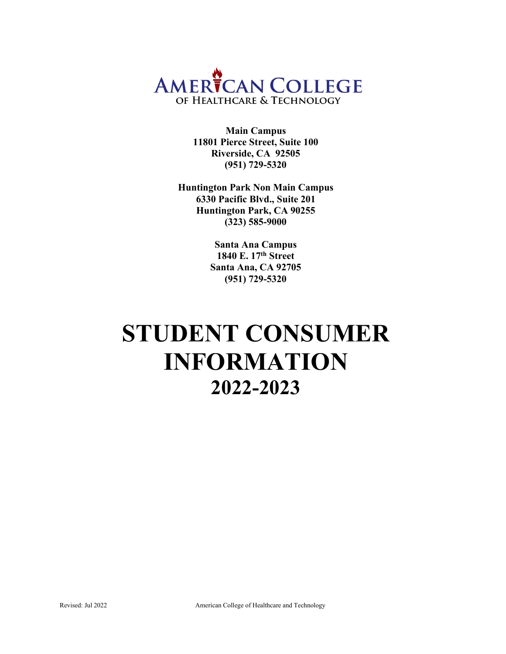

**Main Campus 11801 Pierce Street, Suite 100 Riverside, CA 92505 (951) 729-5320**

**Huntington Park Non Main Campus 6330 Pacific Blvd., Suite 201 Huntington Park, CA 90255 (323) 585-9000**

> **Santa Ana Campus 1840 E. 17th Street Santa Ana, CA 92705 (951) 729-5320**

# **STUDENT CONSUMER INFORMATION 2022-2023**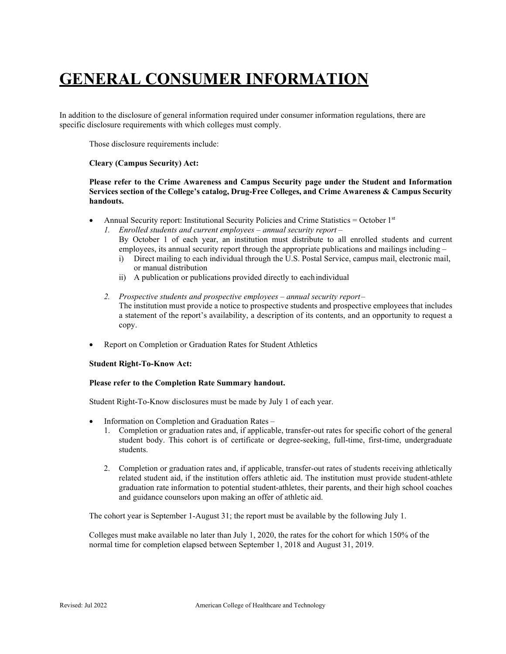## **GENERAL CONSUMER INFORMATION**

In addition to the disclosure of general information required under consumer information regulations, there are specific disclosure requirements with which colleges must comply.

Those disclosure requirements include:

### **Cleary (Campus Security) Act:**

**Please refer to the Crime Awareness and Campus Security page under the Student and Information Services section of the College's catalog, Drug-Free Colleges, and Crime Awareness & Campus Security handouts.**

- Annual Security report: Institutional Security Policies and Crime Statistics = October 1st
	- *1. Enrolled students and current employees annual security report*  By October 1 of each year, an institution must distribute to all enrolled students and current employees, its annual security report through the appropriate publications and mailings including –
		- i) Direct mailing to each individual through the U.S. Postal Service, campus mail, electronic mail, or manual distribution
		- ii) A publication or publications provided directly to eachindividual
	- *2. Prospective students and prospective employees annual security report*  The institution must provide a notice to prospective students and prospective employees that includes a statement of the report's availability, a description of its contents, and an opportunity to request a copy.
- Report on Completion or Graduation Rates for Student Athletics

### **Student Right-To-Know Act:**

### **Please refer to the Completion Rate Summary handout.**

Student Right-To-Know disclosures must be made by July 1 of each year.

- Information on Completion and Graduation Rates
	- 1. Completion or graduation rates and, if applicable, transfer-out rates for specific cohort of the general student body. This cohort is of certificate or degree-seeking, full-time, first-time, undergraduate students.
	- 2. Completion or graduation rates and, if applicable, transfer-out rates of students receiving athletically related student aid, if the institution offers athletic aid. The institution must provide student-athlete graduation rate information to potential student-athletes, their parents, and their high school coaches and guidance counselors upon making an offer of athletic aid.

The cohort year is September 1-August 31; the report must be available by the following July 1.

Colleges must make available no later than July 1, 2020, the rates for the cohort for which 150% of the normal time for completion elapsed between September 1, 2018 and August 31, 2019.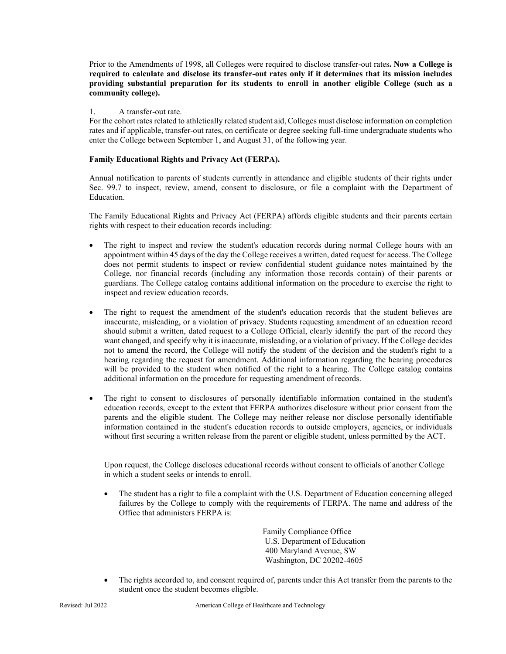Prior to the Amendments of 1998, all Colleges were required to disclose transfer-out rates**. Now a College is required to calculate and disclose its transfer-out rates only if it determines that its mission includes providing substantial preparation for its students to enroll in another eligible College (such as a community college).**

### 1. A transfer-out rate.

For the cohort rates related to athletically related student aid, Colleges must disclose information on completion rates and if applicable, transfer-out rates, on certificate or degree seeking full-time undergraduate students who enter the College between September 1, and August 31, of the following year.

### **Family Educational Rights and Privacy Act (FERPA).**

Annual notification to parents of students currently in attendance and eligible students of their rights under Sec. 99.7 to inspect, review, amend, consent to disclosure, or file a complaint with the Department of Education.

The Family Educational Rights and Privacy Act (FERPA) affords eligible students and their parents certain rights with respect to their education records including:

- The right to inspect and review the student's education records during normal College hours with an appointment within 45 days of the day the College receives a written, dated request for access. The College does not permit students to inspect or review confidential student guidance notes maintained by the College, nor financial records (including any information those records contain) of their parents or guardians. The College catalog contains additional information on the procedure to exercise the right to inspect and review education records.
- The right to request the amendment of the student's education records that the student believes are inaccurate, misleading, or a violation of privacy. Students requesting amendment of an education record should submit a written, dated request to a College Official, clearly identify the part of the record they want changed, and specify why it is inaccurate, misleading, or a violation of privacy. If the College decides not to amend the record, the College will notify the student of the decision and the student's right to a hearing regarding the request for amendment. Additional information regarding the hearing procedures will be provided to the student when notified of the right to a hearing. The College catalog contains additional information on the procedure for requesting amendment of records.
- The right to consent to disclosures of personally identifiable information contained in the student's education records, except to the extent that FERPA authorizes disclosure without prior consent from the parents and the eligible student. The College may neither release nor disclose personally identifiable information contained in the student's education records to outside employers, agencies, or individuals without first securing a written release from the parent or eligible student, unless permitted by the ACT.

Upon request, the College discloses educational records without consent to officials of another College in which a student seeks or intends to enroll.

• The student has a right to file a complaint with the U.S. Department of Education concerning alleged failures by the College to comply with the requirements of FERPA. The name and address of the Office that administers FERPA is:

> Family Compliance Office U.S. Department of Education 400 Maryland Avenue, SW Washington, DC 20202-4605

• The rights accorded to, and consent required of, parents under this Act transfer from the parents to the student once the student becomes eligible.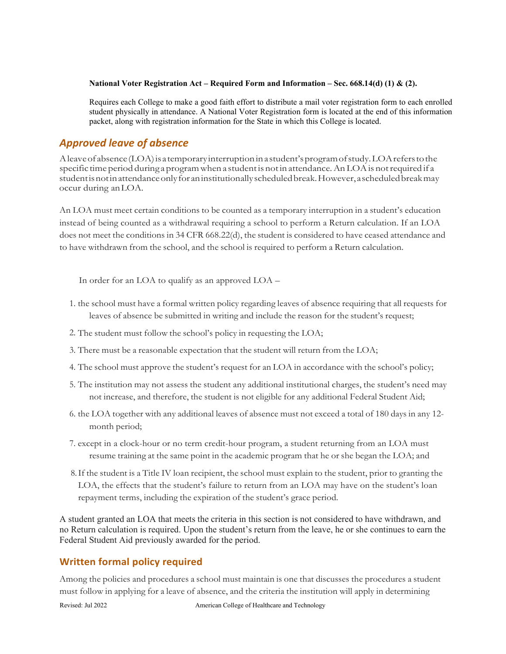### **National Voter Registration Act – Required Form and Information – Sec. 668.14(d) (1) & (2).**

Requires each College to make a good faith effort to distribute a mail voter registration form to each enrolled student physically in attendance. A National Voter Registration form is located at the end of this information packet, along with registration information for the State in which this College is located.

### *Approved leave of absence*

Aleaveof absence(LOA)is atemporaryinterruptioninastudent'sprogramofstudy.LOAreferstothe specific time period during a programwhen a studentis notin attendance.AnLOAis notrequired if a studentisnotinattendanceonlyfor aninstitutionallyscheduledbreak.However, ascheduledbreakmay occur during anLOA.

An LOA must meet certain conditions to be counted as a temporary interruption in a student's education instead of being counted as a withdrawal requiring a school to perform a Return calculation. If an LOA does not meet the conditions in 34 CFR 668.22(d), the student is considered to have ceased attendance and to have withdrawn from the school, and the school is required to perform a Return calculation.

In order for an LOA to qualify as an approved LOA –

- 1. the school must have a formal written policy regarding leaves of absence requiring that all requests for leaves of absence be submitted in writing and include the reason for the student's request;
- 2. The student must follow the school's policy in requesting the LOA;
- 3. There must be a reasonable expectation that the student will return from the LOA;
- 4. The school must approve the student's request for an LOA in accordance with the school's policy;
- 5. The institution may not assess the student any additional institutional charges, the student's need may not increase, and therefore, the student is not eligible for any additional Federal Student Aid;
- 6. the LOA together with any additional leaves of absence must not exceed a total of 180 days in any 12 month period;
- 7. except in a clock-hour or no term credit-hour program, a student returning from an LOA must resume training at the same point in the academic program that he or she began the LOA; and
- 8.If the student is a Title IV loan recipient, the school must explain to the student, prior to granting the LOA, the effects that the student's failure to return from an LOA may have on the student's loan repayment terms, including the expiration of the student's grace period.

A student granted an LOA that meets the criteria in this section is not considered to have withdrawn, and no Return calculation is required. Upon the student's return from the leave, he or she continues to earn the Federal Student Aid previously awarded for the period.

### **Written formal policy required**

Among the policies and procedures a school must maintain is one that discusses the procedures a student must follow in applying for a leave of absence, and the criteria the institution will apply in determining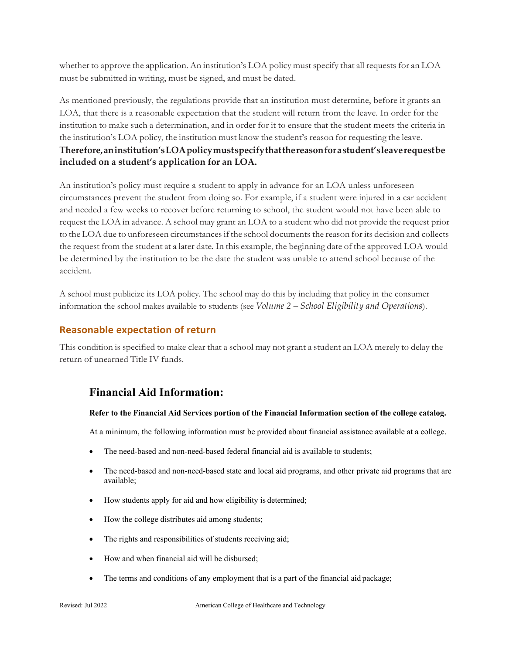whether to approve the application. An institution's LOA policy must specify that all requests for an LOA must be submitted in writing, must be signed, and must be dated.

As mentioned previously, the regulations provide that an institution must determine, before it grants an LOA, that there is a reasonable expectation that the student will return from the leave. In order for the institution to make such a determination, and in order for it to ensure that the student meets the criteria in the institution's LOA policy, the institution must know the student's reason for requesting the leave. **Therefore,aninstitution'sLOApolicymustspecifythatthereasonforastudent'sleaverequestbe included on a student's application for an LOA.**

An institution's policy must require a student to apply in advance for an LOA unless unforeseen circumstances prevent the student from doing so. For example, if a student were injured in a car accident and needed a few weeks to recover before returning to school, the student would not have been able to request the LOA in advance. A school may grant an LOA to a student who did not provide the request prior to the LOA due to unforeseen circumstances if the school documents the reason for its decision and collects the request from the student at a later date. In this example, the beginning date of the approved LOA would be determined by the institution to be the date the student was unable to attend school because of the accident.

A school must publicize its LOA policy. The school may do this by including that policy in the consumer information the school makes available to students (see *Volume 2 – School Eligibility and Operations*).

### **Reasonable expectation of return**

This condition is specified to make clear that a school may not grant a student an LOA merely to delay the return of unearned Title IV funds.

### **Financial Aid Information:**

### **Refer to the Financial Aid Services portion of the Financial Information section of the college catalog.**

At a minimum, the following information must be provided about financial assistance available at a college.

- The need-based and non-need-based federal financial aid is available to students;
- The need-based and non-need-based state and local aid programs, and other private aid programs that are available;
- How students apply for aid and how eligibility is determined;
- How the college distributes aid among students;
- The rights and responsibilities of students receiving aid;
- How and when financial aid will be disbursed;
- The terms and conditions of any employment that is a part of the financial aid package;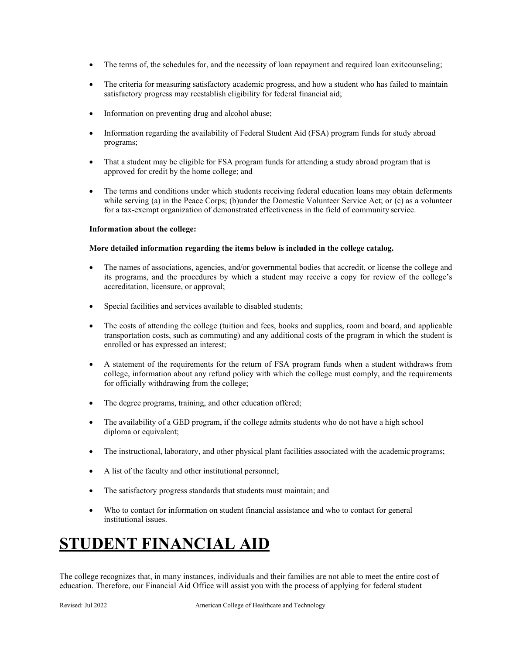- The terms of, the schedules for, and the necessity of loan repayment and required loan exitcounseling;
- The criteria for measuring satisfactory academic progress, and how a student who has failed to maintain satisfactory progress may reestablish eligibility for federal financial aid;
- Information on preventing drug and alcohol abuse;
- Information regarding the availability of Federal Student Aid (FSA) program funds for study abroad programs;
- That a student may be eligible for FSA program funds for attending a study abroad program that is approved for credit by the home college; and
- The terms and conditions under which students receiving federal education loans may obtain deferments while serving (a) in the Peace Corps; (b)under the Domestic Volunteer Service Act; or (c) as a volunteer for a tax-exempt organization of demonstrated effectiveness in the field of community service.

### **Information about the college:**

### **More detailed information regarding the items below is included in the college catalog.**

- The names of associations, agencies, and/or governmental bodies that accredit, or license the college and its programs, and the procedures by which a student may receive a copy for review of the college's accreditation, licensure, or approval;
- Special facilities and services available to disabled students;
- The costs of attending the college (tuition and fees, books and supplies, room and board, and applicable transportation costs, such as commuting) and any additional costs of the program in which the student is enrolled or has expressed an interest;
- A statement of the requirements for the return of FSA program funds when a student withdraws from college, information about any refund policy with which the college must comply, and the requirements for officially withdrawing from the college;
- The degree programs, training, and other education offered;
- The availability of a GED program, if the college admits students who do not have a high school diploma or equivalent;
- The instructional, laboratory, and other physical plant facilities associated with the academic programs;
- A list of the faculty and other institutional personnel;
- The satisfactory progress standards that students must maintain; and
- Who to contact for information on student financial assistance and who to contact for general institutional issues.

## **STUDENT FINANCIAL AID**

The college recognizes that, in many instances, individuals and their families are not able to meet the entire cost of education. Therefore, our Financial Aid Office will assist you with the process of applying for federal student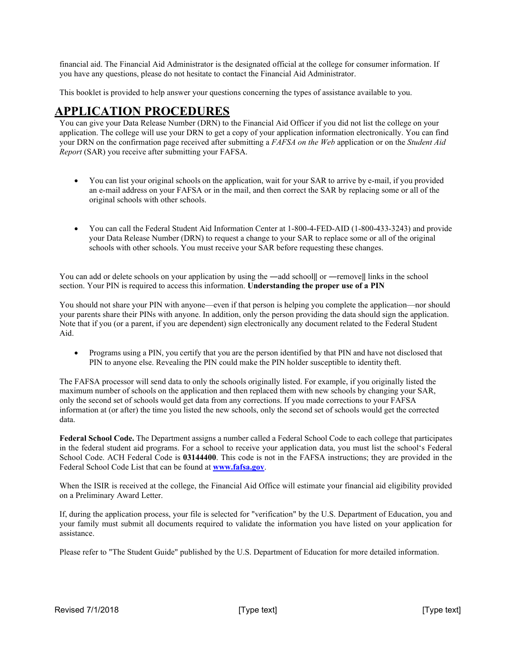financial aid. The Financial Aid Administrator is the designated official at the college for consumer information. If you have any questions, please do not hesitate to contact the Financial Aid Administrator.

This booklet is provided to help answer your questions concerning the types of assistance available to you.

### **APPLICATION PROCEDURES**

You can give your Data Release Number (DRN) to the Financial Aid Officer if you did not list the college on your application. The college will use your DRN to get a copy of your application information electronically. You can find your DRN on the confirmation page received after submitting a *FAFSA on the Web* application or on the *Student Aid Report* (SAR) you receive after submitting your FAFSA.

- You can list your original schools on the application, wait for your SAR to arrive by e-mail, if you provided an e-mail address on your FAFSA or in the mail, and then correct the SAR by replacing some or all of the original schools with other schools.
- You can call the Federal Student Aid Information Center at 1-800-4-FED-AID (1-800-433-3243) and provide your Data Release Number (DRN) to request a change to your SAR to replace some or all of the original schools with other schools. You must receive your SAR before requesting these changes.

You can add or delete schools on your application by using the —add school|| or —remove|| links in the school section. Your PIN is required to access this information. **Understanding the proper use of a PIN**

You should not share your PIN with anyone—even if that person is helping you complete the application—nor should your parents share their PINs with anyone. In addition, only the person providing the data should sign the application. Note that if you (or a parent, if you are dependent) sign electronically any document related to the Federal Student Aid.

• Programs using a PIN, you certify that you are the person identified by that PIN and have not disclosed that PIN to anyone else. Revealing the PIN could make the PIN holder susceptible to identity theft.

The FAFSA processor will send data to only the schools originally listed. For example, if you originally listed the maximum number of schools on the application and then replaced them with new schools by changing your SAR, only the second set of schools would get data from any corrections. If you made corrections to your FAFSA information at (or after) the time you listed the new schools, only the second set of schools would get the corrected data.

**Federal School Code.** The Department assigns a number called a Federal School Code to each college that participates in the federal student aid programs. For a school to receive your application data, you must list the school's Federal School Code. ACH Federal Code is **03144400**. This code is not in the FAFSA instructions; they are provided in the Federal School Code List that can be found at **[www.fafsa.gov](http://www.fafsa.gov/)**.

When the ISIR is received at the college, the Financial Aid Office will estimate your financial aid eligibility provided on a Preliminary Award Letter.

If, during the application process, your file is selected for "verification" by the U.S. Department of Education, you and your family must submit all documents required to validate the information you have listed on your application for assistance.

Please refer to "The Student Guide" published by the U.S. Department of Education for more detailed information.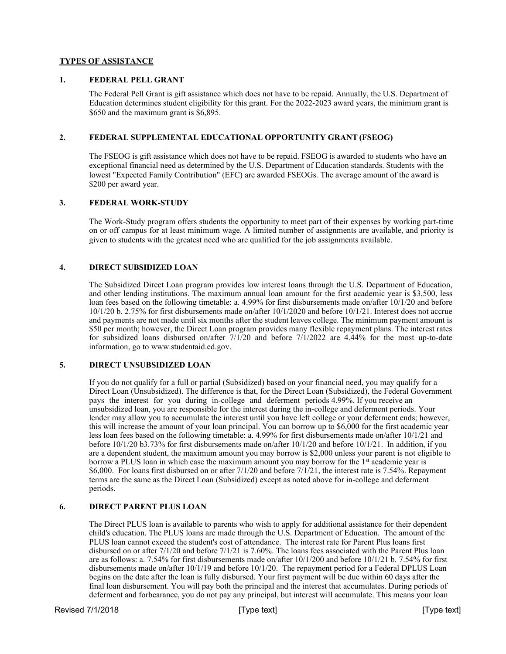### **TYPES OF ASSISTANCE**

### **1. FEDERAL PELL GRANT**

The Federal Pell Grant is gift assistance which does not have to be repaid. Annually, the U.S. Department of Education determines student eligibility for this grant. For the 2022-2023 award years, the minimum grant is \$650 and the maximum grant is \$6,895.

### **2. FEDERAL SUPPLEMENTAL EDUCATIONAL OPPORTUNITY GRANT (FSEOG)**

The FSEOG is gift assistance which does not have to be repaid. FSEOG is awarded to students who have an exceptional financial need as determined by the U.S. Department of Education standards. Students with the lowest "Expected Family Contribution" (EFC) are awarded FSEOGs. The average amount of the award is \$200 per award year.

### **3. FEDERAL WORK-STUDY**

The Work-Study program offers students the opportunity to meet part of their expenses by working part-time on or off campus for at least minimum wage. A limited number of assignments are available, and priority is given to students with the greatest need who are qualified for the job assignments available.

### **4. DIRECT SUBSIDIZED LOAN**

The Subsidized Direct Loan program provides low interest loans through the U.S. Department of Education, and other lending institutions. The maximum annual loan amount for the first academic year is \$3,500, less loan fees based on the following timetable: a. 4.99% for first disbursements made on/after 10/1/20 and before 10/1/20 b. 2.75% for first disbursements made on/after 10/1/2020 and before 10/1/21. Interest does not accrue and payments are not made until six months after the student leaves college. The minimum payment amount is \$50 per month; however, the Direct Loan program provides many flexible repayment plans. The interest rates for subsidized loans disbursed on/after 7/1/20 and before 7/1/2022 are 4.44% for the most up-to-date information, go to [www.studentaid.ed.gov.](http://www.studentaid.ed.gov/)

### **5. DIRECT UNSUBSIDIZED LOAN**

If you do not qualify for a full or partial (Subsidized) based on your financial need, you may qualify for a Direct Loan (Unsubsidized). The difference is that, for the Direct Loan (Subsidized), the Federal Government pays the interest for you during in-college and deferment periods 4.99%. If you receive an unsubsidized loan, you are responsible for the interest during the in-college and deferment periods. Your lender may allow you to accumulate the interest until you have left college or your deferment ends; however, this will increase the amount of your loan principal. You can borrow up to \$6,000 for the first academic year less loan fees based on the following timetable: a. 4.99% for first disbursements made on/after 10/1/21 and before 10/1/20 b3.73% for first disbursements made on/after 10/1/20 and before 10/1/21. In addition, if you are a dependent student, the maximum amount you may borrow is \$2,000 unless your parent is not eligible to borrow a PLUS loan in which case the maximum amount you may borrow for the  $1<sup>st</sup>$  academic year is \$6,000. For loans first disbursed on or after 7/1/20 and before 7/1/21, the interest rate is 7.54%. Repayment terms are the same as the Direct Loan (Subsidized) except as noted above for in-college and deferment periods.

### **6. DIRECT PARENT PLUS LOAN**

The Direct PLUS loan is available to parents who wish to apply for additional assistance for their dependent child's education. The PLUS loans are made through the U.S. Department of Education. The amount of the PLUS loan cannot exceed the student's cost of attendance. The interest rate for Parent Plus loans first disbursed on or after 7/1/20 and before 7/1/21 is 7.60%. The loans fees associated with the Parent Plus loan are as follows: a. 7.54% for first disbursements made on/after 10/1/200 and before 10/1/21 b. 7.54% for first disbursements made on/after 10/1/19 and before 10/1/20. The repayment period for a Federal DPLUS Loan begins on the date after the loan is fully disbursed. Your first payment will be due within 60 days after the final loan disbursement. You will pay both the principal and the interest that accumulates. During periods of deferment and forbearance, you do not pay any principal, but interest will accumulate. This means your loan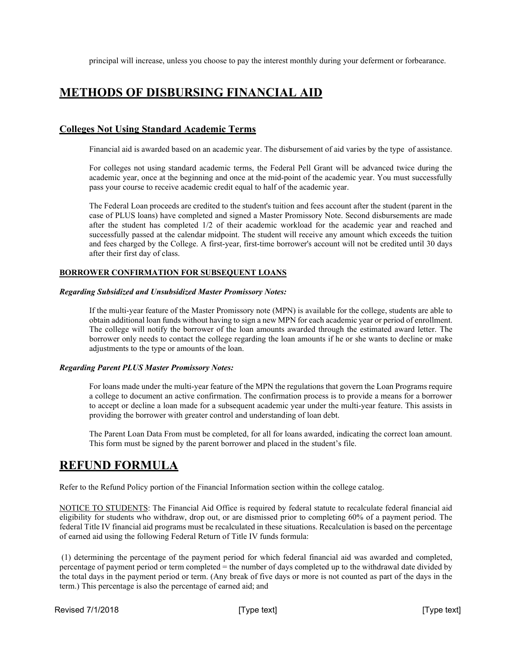principal will increase, unless you choose to pay the interest monthly during your deferment or forbearance.

### **METHODS OF DISBURSING FINANCIAL AID**

### **Colleges Not Using Standard Academic Terms**

Financial aid is awarded based on an academic year. The disbursement of aid varies by the type of assistance.

For colleges not using standard academic terms, the Federal Pell Grant will be advanced twice during the academic year, once at the beginning and once at the mid-point of the academic year. You must successfully pass your course to receive academic credit equal to half of the academic year.

The Federal Loan proceeds are credited to the student's tuition and fees account after the student (parent in the case of PLUS loans) have completed and signed a Master Promissory Note. Second disbursements are made after the student has completed 1/2 of their academic workload for the academic year and reached and successfully passed at the calendar midpoint. The student will receive any amount which exceeds the tuition and fees charged by the College. A first-year, first-time borrower's account will not be credited until 30 days after their first day of class.

### **BORROWER CONFIRMATION FOR SUBSEQUENT LOANS**

### *Regarding Subsidized and Unsubsidized Master Promissory Notes:*

If the multi-year feature of the Master Promissory note (MPN) is available for the college, students are able to obtain additional loan funds without having to sign a new MPN for each academic year or period of enrollment. The college will notify the borrower of the loan amounts awarded through the estimated award letter. The borrower only needs to contact the college regarding the loan amounts if he or she wants to decline or make adjustments to the type or amounts of the loan.

### *Regarding Parent PLUS Master Promissory Notes:*

For loans made under the multi-year feature of the MPN the regulations that govern the Loan Programs require a college to document an active confirmation. The confirmation process is to provide a means for a borrower to accept or decline a loan made for a subsequent academic year under the multi-year feature. This assists in providing the borrower with greater control and understanding of loan debt.

The Parent Loan Data From must be completed, for all for loans awarded, indicating the correct loan amount. This form must be signed by the parent borrower and placed in the student's file.

### **REFUND FORMULA**

Refer to the Refund Policy portion of the Financial Information section within the college catalog.

NOTICE TO STUDENTS: The Financial Aid Office is required by federal statute to recalculate federal financial aid eligibility for students who withdraw, drop out, or are dismissed prior to completing 60% of a payment period. The federal Title IV financial aid programs must be recalculated in these situations. Recalculation is based on the percentage of earned aid using the following Federal Return of Title IV funds formula:

(1) determining the percentage of the payment period for which federal financial aid was awarded and completed, percentage of payment period or term completed = the number of days completed up to the withdrawal date divided by the total days in the payment period or term. (Any break of five days or more is not counted as part of the days in the term.) This percentage is also the percentage of earned aid; and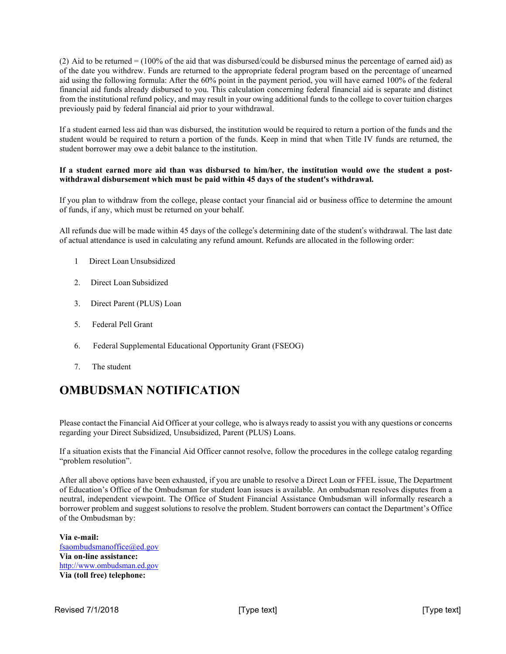(2) Aid to be returned  $= (100\% \text{ of the aid that was dissolved/could be disbursed minus the percentage of earned aid) as$ of the date you withdrew. Funds are returned to the appropriate federal program based on the percentage of unearned aid using the following formula: After the 60% point in the payment period, you will have earned 100% of the federal financial aid funds already disbursed to you. This calculation concerning federal financial aid is separate and distinct from the institutional refund policy, and may result in your owing additional funds to the college to cover tuition charges previously paid by federal financial aid prior to your withdrawal.

If a student earned less aid than was disbursed, the institution would be required to return a portion of the funds and the student would be required to return a portion of the funds. Keep in mind that when Title IV funds are returned, the student borrower may owe a debit balance to the institution.

### **If a student earned more aid than was disbursed to him/her, the institution would owe the student a postwithdrawal disbursement which must be paid within 45 days of the student's withdrawal.**

If you plan to withdraw from the college, please contact your financial aid or business office to determine the amount of funds, if any, which must be returned on your behalf.

All refunds due will be made within 45 days of the college's determining date of the student's withdrawal. The last date of actual attendance is used in calculating any refund amount. Refunds are allocated in the following order:

- 1 Direct Loan Unsubsidized
- 2. Direct Loan Subsidized
- 3. Direct Parent (PLUS) Loan
- 5. Federal Pell Grant
- 6. Federal Supplemental Educational Opportunity Grant (FSEOG)
- 7. The student

## **OMBUDSMAN NOTIFICATION**

Please contact the Financial Aid Officer at your college, who is always ready to assist you with any questions or concerns regarding your Direct Subsidized, Unsubsidized, Parent (PLUS) Loans.

If a situation exists that the Financial Aid Officer cannot resolve, follow the procedures in the college catalog regarding "problem resolution".

After all above options have been exhausted, if you are unable to resolve a Direct Loan or FFEL issue, The Department of Education's Office of the Ombudsman for student loan issues is available. An ombudsman resolves disputes from a neutral, independent viewpoint. The Office of Student Financial Assistance Ombudsman will informally research a borrower problem and suggest solutions to resolve the problem. Student borrowers can contact the Department's Office of the Ombudsman by:

**Via e-mail:**  [fsaombudsmanoffice@ed.gov](mailto:fsaombudsmanoffice@ed.gov) **Via on-line assistance:**  [http://www.ombudsman.ed.gov](http://ombudsman.ed.gov/) **Via (toll free) telephone:**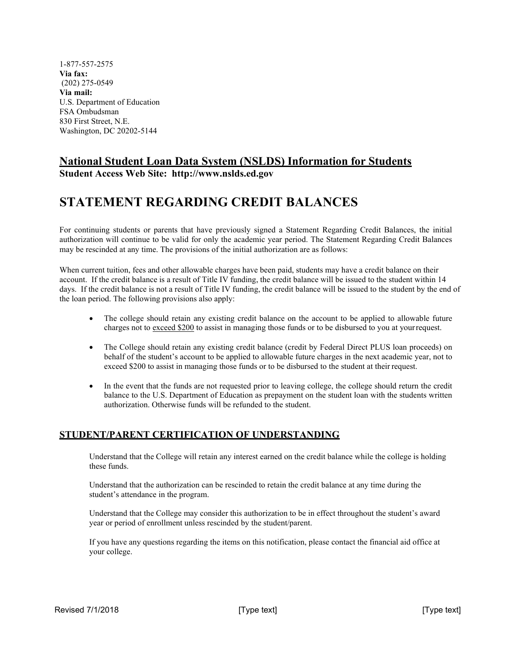1-877-557-2575 **Via fax:** (202) 275-0549 **Via mail:** U.S. Department of Education FSA Ombudsman 830 First Street, N.E. Washington, DC 20202-5144

### **National Student Loan Data System (NSLDS) Information for Students**

**Student Access Web Site: [http://www.nslds.ed.gov](http://www.nslds.ed.gov/)**

## **STATEMENT REGARDING CREDIT BALANCES**

For continuing students or parents that have previously signed a Statement Regarding Credit Balances, the initial authorization will continue to be valid for only the academic year period. The Statement Regarding Credit Balances may be rescinded at any time. The provisions of the initial authorization are as follows:

When current tuition, fees and other allowable charges have been paid, students may have a credit balance on their account. If the credit balance is a result of Title IV funding, the credit balance will be issued to the student within 14 days. If the credit balance is not a result of Title IV funding, the credit balance will be issued to the student by the end of the loan period. The following provisions also apply:

- The college should retain any existing credit balance on the account to be applied to allowable future charges not to exceed \$200 to assist in managing those funds or to be disbursed to you at yourrequest.
- The College should retain any existing credit balance (credit by Federal Direct PLUS loan proceeds) on behalf of the student's account to be applied to allowable future charges in the next academic year, not to exceed \$200 to assist in managing those funds or to be disbursed to the student at their request.
- In the event that the funds are not requested prior to leaving college, the college should return the credit balance to the U.S. Department of Education as prepayment on the student loan with the students written authorization. Otherwise funds will be refunded to the student.

### **STUDENT/PARENT CERTIFICATION OF UNDERSTANDING**

Understand that the College will retain any interest earned on the credit balance while the college is holding these funds.

Understand that the authorization can be rescinded to retain the credit balance at any time during the student's attendance in the program.

Understand that the College may consider this authorization to be in effect throughout the student's award year or period of enrollment unless rescinded by the student/parent.

If you have any questions regarding the items on this notification, please contact the financial aid office at your college.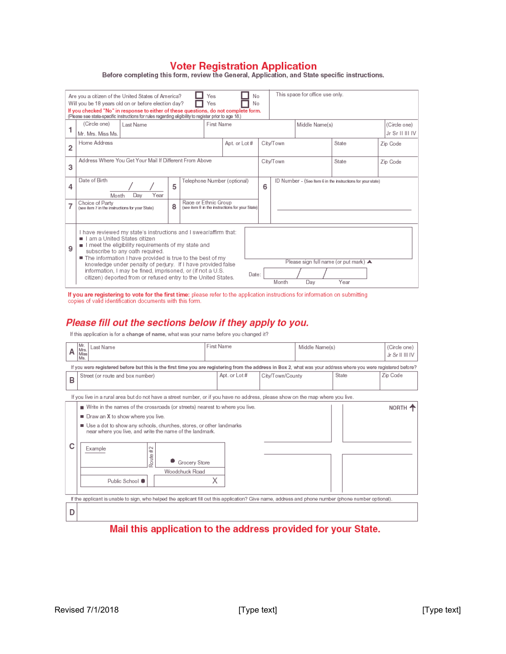Voter Registration Application<br>Before completing this form, review the General, Application, and State specific instructions.

| This space for office use only.<br>Yes<br>No<br>Are you a citizen of the United States of America?<br>Will you be 18 years old on or before election day?<br>No<br>Yes<br>If you checked "No" in response to either of these questions, do not complete form.<br>(Please see state-specific instructions for rules regarding eligibility to register prior to age 18.) |                                                                                                                                                                                                                                                                                                                                                                                                                                                         |               |                                                                         |  |   |                                                             |                |                                                              |                                 |  |
|------------------------------------------------------------------------------------------------------------------------------------------------------------------------------------------------------------------------------------------------------------------------------------------------------------------------------------------------------------------------|---------------------------------------------------------------------------------------------------------------------------------------------------------------------------------------------------------------------------------------------------------------------------------------------------------------------------------------------------------------------------------------------------------------------------------------------------------|---------------|-------------------------------------------------------------------------|--|---|-------------------------------------------------------------|----------------|--------------------------------------------------------------|---------------------------------|--|
|                                                                                                                                                                                                                                                                                                                                                                        | (Circle one)<br>First Name<br>Last Name<br>Mr. Mrs. Miss Ms.                                                                                                                                                                                                                                                                                                                                                                                            |               |                                                                         |  |   |                                                             | Middle Name(s) |                                                              | (Circle one)<br>Jr Sr II III IV |  |
| $\overline{2}$                                                                                                                                                                                                                                                                                                                                                         | Home Address                                                                                                                                                                                                                                                                                                                                                                                                                                            | Apt. or Lot # | City/Town                                                               |  |   | State                                                       | Zip Code       |                                                              |                                 |  |
| 3                                                                                                                                                                                                                                                                                                                                                                      | Address Where You Get Your Mail If Different From Above                                                                                                                                                                                                                                                                                                                                                                                                 |               | City/Town                                                               |  |   | State                                                       | Zip Code       |                                                              |                                 |  |
| 4                                                                                                                                                                                                                                                                                                                                                                      | Date of Birth<br>Telephone Number (optional)<br>5<br>Year<br>Dav<br>Month                                                                                                                                                                                                                                                                                                                                                                               |               |                                                                         |  | 6 | ID Number - (See Item 6 in the instructions for your state) |                |                                                              |                                 |  |
| 7                                                                                                                                                                                                                                                                                                                                                                      | Choice of Party<br>(see item 7 in the instructions for your State)                                                                                                                                                                                                                                                                                                                                                                                      | 8             | Race or Ethnic Group<br>(see item 8 in the instructions for your State) |  |   |                                                             |                |                                                              |                                 |  |
| 9                                                                                                                                                                                                                                                                                                                                                                      | I have reviewed my state's instructions and I swear/affirm that:<br>Lam a United States citizen<br>I meet the eligibility requirements of my state and<br>subscribe to any oath required.<br>■ The information I have provided is true to the best of my<br>knowledge under penalty of perjury. If I have provided false<br>information, I may be fined, imprisoned, or (if not a U.S.<br>citizen) deported from or refused entry to the United States. |               |                                                                         |  |   | Month                                                       | Dav            | Please sign full name (or put mark) $\blacktriangle$<br>Year |                                 |  |

If you are registering to vote for the first time: please refer to the application instructions for information on submitting copies of valid identification documents with this form.

### Please fill out the sections below if they apply to you.

If this application is for a change of name, what was your name before you changed it?

|                                                                                                                                                                 | Mr.<br>Last Name<br>Mrs.<br>Miss<br>Ms.                                                                                                                                                                                                                                                                                                                                            | First Name |               |                  | Middle Name(s) | (Circle one)<br>Jr Sr II III IV |          |  |  |  |  |
|-----------------------------------------------------------------------------------------------------------------------------------------------------------------|------------------------------------------------------------------------------------------------------------------------------------------------------------------------------------------------------------------------------------------------------------------------------------------------------------------------------------------------------------------------------------|------------|---------------|------------------|----------------|---------------------------------|----------|--|--|--|--|
| If you were registered before but this is the first time you are registering from the address in Box 2, what was your address where you were registered before? |                                                                                                                                                                                                                                                                                                                                                                                    |            |               |                  |                |                                 |          |  |  |  |  |
| B                                                                                                                                                               | Street (or route and box number)                                                                                                                                                                                                                                                                                                                                                   |            | Apt. or Lot # | City/Town/County |                | State                           | Zip Code |  |  |  |  |
| If you live in a rural area but do not have a street number, or if you have no address, please show on the map where you live.                                  |                                                                                                                                                                                                                                                                                                                                                                                    |            |               |                  |                |                                 |          |  |  |  |  |
|                                                                                                                                                                 | ■ Write in the names of the crossroads (or streets) nearest to where you live.<br>NORTH<br>Draw an X to show where you live.<br><b>In</b><br>Use a dot to show any schools, churches, stores, or other landmarks<br>near where you live, and write the name of the landmark.<br>Example<br>$\scriptstyle\sim$<br>44<br>Route<br>Grocery Store<br>Woodchuck Road<br>Public School ● |            |               |                  |                |                                 |          |  |  |  |  |
| If the applicant is unable to sign, who helped the applicant fill out this application? Give name, address and phone number (phone number optional).            |                                                                                                                                                                                                                                                                                                                                                                                    |            |               |                  |                |                                 |          |  |  |  |  |
| n                                                                                                                                                               |                                                                                                                                                                                                                                                                                                                                                                                    |            |               |                  |                |                                 |          |  |  |  |  |

### Mail this application to the address provided for your State.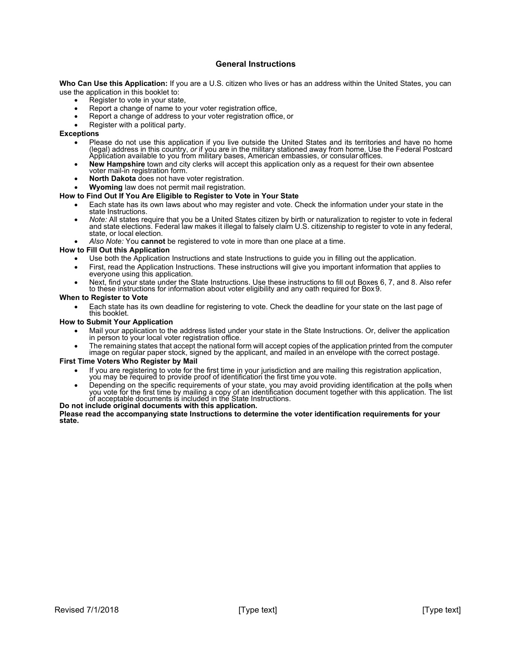### **General Instructions**

**Who Can Use this Application:** If you are a U.S. citizen who lives or has an address within the United States, you can use the application in this booklet to:

- Register to vote in your state,
- Report a change of name to your voter registration office,
- Report a change of address to your voter registration office, or
- Register with a political party.

### **Exceptions**

- Please do not use this application if you live outside the United States and its territories and have no home (legal) address in this country, *or* if you are in the military stationed away from home. Use the Federal Postcard Application available to you from military bases, American embassies, or consular offices.
- **New Hampshire** town and city clerks will accept this application only as a request for their own absentee voter mail-in registration form.
- **North Dakota** does not have voter registration.
- **Wyoming** law does not permit mail registration.

### **How to Find Out If You Are Eligible to Register to Vote in Your State**

- Each state has its own laws about who may register and vote. Check the information under your state in the
- state Instructions.<br>Note: All states require that you be a United States citizen by birth or naturalization to register to vote in federal and state elections. Federal law makes it illegal to falsely claim U.S. citizenship to register to vote in any federal,<br>state, or local election.
- *Also Note:* You **cannot** be registered to vote in more than one place at a time.

### **How to Fill Out this Application**

- Use both the Application Instructions and state Instructions to guide you in filling out the application.
- First, read the Application Instructions. These instructions will give you important information that applies to everyone using this application.
- Next, find your state under the State Instructions. Use these instructions to fill out Boxes 6, 7, and 8. Also refer to these instructions for information about voter eligibility and any oath required for Box 9.

### **When to Register to Vote**

• Each state has its own deadline for registering to vote. Check the deadline for your state on the last page of this booklet.

### **How to Submit Your Application**

- Mail your application to the address listed under your state in the State Instructions. Or, deliver the application in person to your local voter registration office.
- The remaining states that accept the national form will accept copies of the application printed from the computer image on regular paper stock, signed by the applicant, and mailed in an envelope with the correct postage.

### **First Time Voters Who Register by Mail**

- If you are registering to vote for the first time in your jurisdiction and are mailing this registration application, you may be required to provide proof of identification the first time you vote.
- Depending on the specific requirements of your state, you may avoid providing identification at the polls when you vote for the first time by mailing a copy of an identification document together with this application. The list of acceptable documents is included in the State Instructions.

#### **Do not include original documents with this application.**

**Please read the accompanying state Instructions to determine the voter identification requirements for your state.**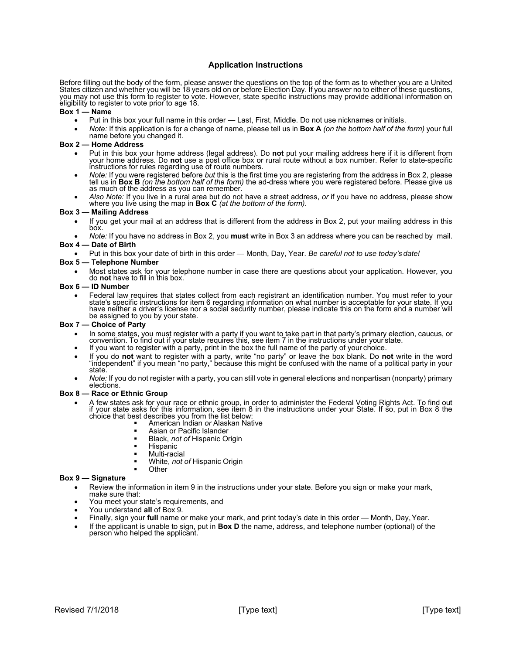### **Application Instructions**

Before filling out the body of the form, please answer the questions on the top of the form as to whether you are a United States citizen and whether you will be 18 years old on or before Election Day. If you answer no to either of these questions, you may not use this form to register to vote. However, state specific instructions may provide additional information on eligibility to register to vote prior to age 18.

### **Box 1 — Name**

- Put in this box your full name in this order Last, First, Middle. Do not use nicknames orinitials.
- *Note:* If this application is for a change of name, please tell us in **Box A** *(on the bottom half of the form)* your full name before you changed it.

### **Box 2 — Home Address**

- Put in this box your home address (legal address). Do **not** put your mailing address here if it is different from<br>your home address. Do **not** use a post office box or rural route without a box number. Refer to state-specif
- Note: If you were registered before but this is the first time you are registering from the address in Box 2, please tell us in Box B (on the bottom half of the form) the ad-dress where you were registered before. Please g
- *Also Note:* If you live in a rural area but do not have a street address, *or* if you have no address, please show where you live using the map in **Box C** *(at the bottom of the form)*.

### **Box 3 — Mailing Address**

- If you get your mail at an address that is different from the address in Box 2, put your mailing address in this box.
- *Note:* If you have no address in Box 2, you **must** write in Box 3 an address where you can be reached by mail. **Box 4 — Date of Birth**
- Put in this box your date of birth in this order Month, Day, Year. *Be careful not to use today's date!*

### **Box 5 — Telephone Number**

• Most states ask for your telephone number in case there are questions about your application. However, you do **not** have to fill in this box.

### **Box 6 — ID Number**

Federal law requires that states collect from each registrant an identification number. You must refer to your<br>state's specific instructions for item 6 regarding information on what number is acceptable for your state. If have neither a driver's license nor a social security number, please indicate this on the form and a number will be assigned to you by your state.

#### **Box 7 — Choice of Party**

- In some states, you must register with a party if you want to take part in that party's primary election, caucus, or convention. To find out if your state requires this, see item 7 in the instructions under your state.
- If you want to register with a party, print in the box the full name of the party of your choice.
- If you do **not** want to register with a party, write "no party" or leave the box blank. Do **not** write in the word "independent" if you mean "no party," because this might be confused with the name of a political party in your state.
- *Note:* If you do not register with a party, you can still vote in general elections and nonpartisan (nonparty) primary elections.

#### **Box 8 — Race or Ethnic Group**

- A few states ask for your race or ethnic group, in order to administer the Federal Voting Rights Act. To find out if your state asks for this information, see item 8 in the instructions under your State. If so, put in Box 8 the choice that best describes you from the list below: American Indian *or* Alaskan Native
	-
	- Asian or Pacific Islander
	- Black, *not of* Hispanic Origin
	- Hispanic
	- Multi-racial
	- White, *not of* Hispanic Origin
	- **Other**

### **Box 9 — Signature**

- Review the information in item 9 in the instructions under your state. Before you sign or make your mark, make sure that:
- You meet your state's requirements, and
- You understand **all** of Box 9.
- Finally, sign your **full** name or make your mark, and print today's date in this order Month, Day,Year.
- If the applicant is unable to sign, put in **Box D** the name, address, and telephone number (optional) of the person who helped the applicant.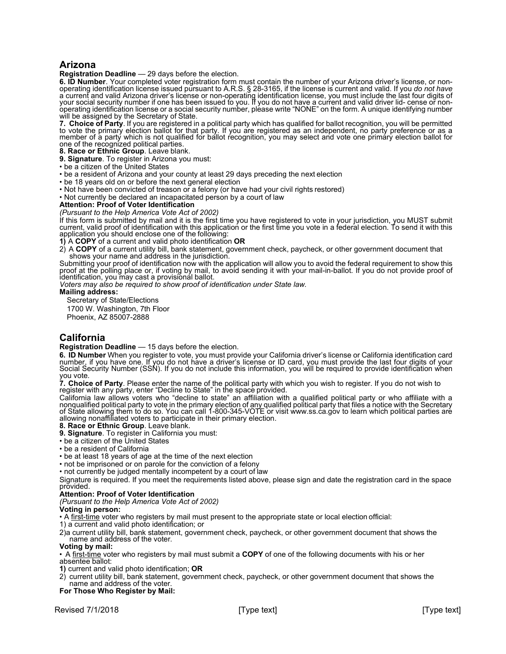### **Arizona**

**Registration Deadline** — 29 days before the election.

**6. ID Number**. Your completed voter registration form must contain the number of your Arizona driver's license, or non-<br>operating identification license issued pursuant to A.R.S. § 28-3165, if the license is current and v a current and valid Arizona driver's license or non-operating identification license, you must include the last four digits of<br>your social security number if one has been issued to you. If you do not have a current and val will be assigned by the Secretary of State.

**7. Choice of Party**. If you are registered in a political party which has qualified for ballot recognition, you will be permitted to vote the primary election ballot for that party. If you are registered as an independent, no party preference or as a member of a party which is not qualified for ballot recognition, you may select and vote one primary election ballot for one of the recognized political parties.

**8. Race or Ethnic Group**. Leave blank.

**9. Signature**. To register in Arizona you must:

- be a citizen of the United States
- be a resident of Arizona and your county at least 29 days preceding the next election
- be 18 years old on or before the next general election
- Not have been convicted of treason or a felony (or have had your civil rights restored)

• Not currently be declared an incapacitated person by a court of law

### **Attention: Proof of Voter Identification**

*(Pursuant to the Help America Vote Act of 2002)*

If this form is submitted by mail and it is the first time you have registered to vote in your jurisdiction, you MUST submit current, valid proof of identification with this application or the first time you vote in a federal election. To send it with this application you should enclose one of the following:

**1)** A **COPY** of a current and valid photo identification **OR**

2) A **COPY** of a current utility bill, bank statement, government check, paycheck, or other government document that shows your name and address in the jurisdiction.

Submitting your proof of identification now with the application will allow you to avoid the federal requirement to show this proof at the polling place or, if voting by mail, to avoid sending it with your mail-in-ballot. If you do not provide proof of identification, you may cast a provisional ballot.

*Voters may also be required to show proof of identification under State law.*

#### **Mailing address:**

Secretary of State/Elections 1700 W. Washington, 7th Floor

Phoenix, AZ 85007-2888

### **California**

#### **Registration Deadline** — 15 days before the election.

**6. ID Number** When you register to vote, you must provide your California driver's license or California identification card<br>number, if you have one. If you do not have a driver's license or ID card, you must provide the Social Security Number (SSN). If you do not include this information, you will be required to provide identification when you vote.

**7. Choice of Party**. Please enter the name of the political party with which you wish to register. If you do not wish to<br>register with any party, enter "Decline to State" in the space provided.

California law allows voters who "decline to state" an affiliation with a qualified political party or who affiliate with a nonqualified political party to vote in the primary election of any qualifie[d political party th](http://www.ss.ca.gov/)at files a notice with the Secretary<br>of State allowing them to do so. You can call 1-800-345-VOTE or visi[t www.ss.ca.gov t](http://www.ss.ca.gov/)o le **8. Race or Ethnic Group**. Leave blank.

- 
- **9. Signature**. To register in California you must:
- be a citizen of the United States

• be a resident of California

• be at least 18 years of age at the time of the next election

- not be imprisoned or on parole for the conviction of a felony
- not currently be judged mentally incompetent by a court of law

Signature is required. If you meet the requirements listed above, please sign and date the registration card in the space provided.

### **Attention: Proof of Voter Identification**

### *(Pursuant to the Help America Vote Act of 2002)*

#### **Voting in person:**

• A first-time voter who registers by mail must present to the appropriate state or local election official:

1) a current and valid photo identification; or

2)a current utility bill, bank statement, government check, paycheck, or other government document that shows the name and address of the voter.

#### **Voting by mail:**

• A first-time voter who registers by mail must submit a **COPY** of one of the following documents with his or her absentee ballot:

- **1)** current and valid photo identification; **OR**
- 2) current utility bill, bank statement, government check, paycheck, or other government document that shows the name and address of the voter.

### **For Those Who Register by Mail:**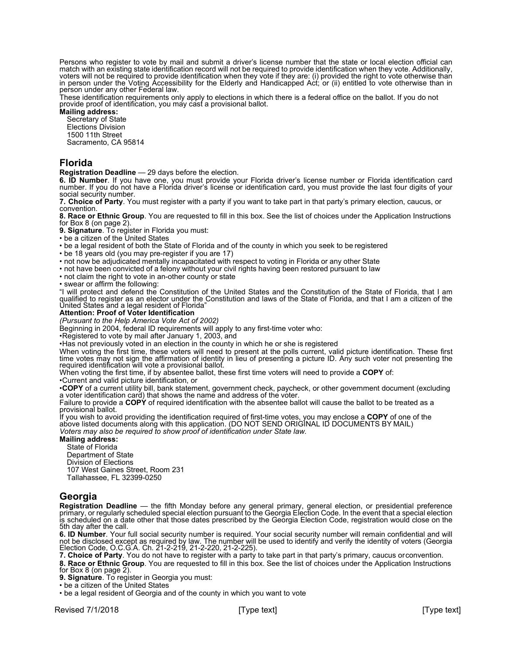Persons who register to vote by mail and submit a driver's license number that the state or local election official can<br>match with an existing state identification record will not be required to provide identification when match with an existing state identification record will not be required to provide identification when they vote. Additionally,<br>voters will not be required to provide identification when they vote if they are: (i) provided in person under the Voting Accessibility for the Elderly and Handicapped Act; or (ii) entitled to vote otherwise than in person under any other Federal law.

These identification requirements only apply to elections in which there is a federal office on the ballot. If you do not<br>provide proof of identification, you may cast a provisional ballot.

**Mailing address:** 

Secretary of State Elections Division 1500 11th Street Sacramento, CA 95814

### **Florida**

**Registration Deadline** — 29 days before the election.<br>**6. ID Number**. If you have one, you must provide your Florida driver's license number or Florida identification card number. If you do not have a Florida driver's license or identification card, you must provide the last four digits of your social security number.

**7. Choice of Party**. You must register with a party if you want to take part in that party's primary election, caucus, or convention.

**8. Race or Ethnic Group**. You are requested to fill in this box. See the list of choices under the Application Instructions for Box 8 (on page 2).

**9. Signature**. To register in Florida you must:

• be a citizen of the United States

• be a legal resident of both the State of Florida and of the county in which you seek to be registered

• be 18 years old (you may pre-register if you are 17)

• not now be adjudicated mentally incapacitated with respect to voting in Florida or any other State

• not have been convicted of a felony without your civil rights having been restored pursuant to law

• not claim the right to vote in an-other county or state

• swear or affirm the following:

"I will protect and defend the Constitution of the United States and the Constitution of the State of Florida, that I am qualified to register as an elector under the Constitution and laws of the State of Florida, and that I am a citizen of the United States and a legal resident of Florida"

### **Attention: Proof of Voter Identification**

*(Pursuant to the Help America Vote Act of 2002)*

Beginning in 2004, federal ID requirements will apply to any first-time voter who:

•Registered to vote by mail after January 1, 2003, and

•Has not previously voted in an election in the county in which he or she is registered

When voting the first time, these voters will need to present at the polls current, valid picture identification. These first time votes may not sign the affirmation of identity in lieu of presenting a picture ID. Any such voter not presenting the required identification will vote a provisional ballot.

When voting the first time, if by absentee ballot, these first time voters will need to provide a **COPY** of: •Current and valid picture identification, or

•COPY of a current utility bill, bank statement, government check, paycheck, or other government document (excluding<br>a voter identification card) that shows the name and address of the voter.

Failure to provide a **COPY** of required identification with the absentee ballot will cause the ballot to be treated as a provisional ballot.

If you wish to avoid providing the identification required of first-time votes, you may enclose a **COPY** of one of the above listed documents along with this application. (DO NOT SEND ORIGINAL ID DOCUMENTS BY MAIL) *Voters may also be required to show proof of identification under State law.*

### **Mailing address:**

State of Florida Department of State Division of Elections 107 West Gaines Street, Room 231 Tallahassee, FL 32399-0250

### **Georgia**

Registration Deadline — the fifth Monday before any general primary, general election, or presidential preference<br>primary, or regularly scheduled special election pursuant to the Georgia Election Code. In the event that a is scheduled on a date other that those dates prescribed by the Georgia Election Code, registration would close on the<br>5th day after the call.

**6. ID Number**. Your full social security number is required. Your social security number will remain confidential and will not be disclosed except as required by law. The number will be used to identify and verify the identity of voters (Georgia<br>Election Code, O.C.G.A. Ch. 21-2-219, 21-2-220, 21-2-225).

**7. Choice of Party**. You do not have to register with a party to take part in that party's primary, caucus orconvention.

**8. Race or Ethnic Group**. You are requested to fill in this box. See the list of choices under the Application Instructions for Box 8 (on page 2).

**9. Signature**. To register in Georgia you must:

• be a citizen of the United States

• be a legal resident of Georgia and of the county in which you want to vote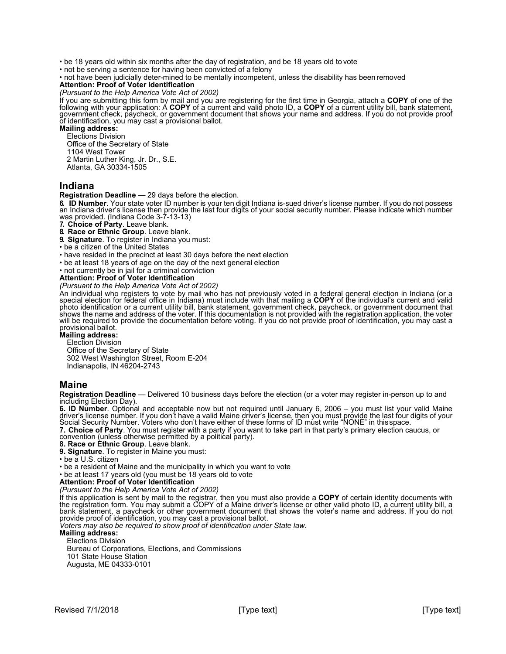• be 18 years old within six months after the day of registration, and be 18 years old to vote

• not be serving a sentence for having been convicted of a felony

• not have been judicially deter-mined to be mentally incompetent, unless the disability has been removed

### **Attention: Proof of Voter Identification**

*(Pursuant to the Help America Vote Act of 2002)*

If you are submitting this form by mail and you are registering for the first time in Georgia, attach a **COPY** of one of the following with your application: A **COPY** of a current and valid photo ID, a **COPY** of a current utility bill, bank statement, government check, paycheck, or government document that shows your name and address. If you do not provide proof of identification, you may cast a provisional ballot.

**Mailing address:**

Elections Division

Office of the Secretary of State

1104 West Tower

2 Martin Luther King, Jr. Dr., S.E.

Atlanta, GA 30334-1505

### **Indiana**

**Registration Deadline** — 29 days before the election. an Indiana driver's license then provide the last four digits of your social security number. Please indicate which number<br>was provided. (Indiana Code 3-7-13-13)

**7. Choice of Party**. Leave blank.

**8. Race or Ethnic Group**. Leave blank.

**9. Signature**. To register in Indiana you must:

• be a citizen of the United States

• have resided in the precinct at least 30 days before the next election

• be at least 18 years of age on the day of the next general election

• not currently be in jail for a criminal conviction

**Attention: Proof of Voter Identification** 

*(Pursuant to the Help America Vote Act of 2002)*

An individual who registers to vote by mail who has not previously voted in a federal general election in Indiana (or a special election for federal office in Indiana) must include with that mailing a **COPY** of the individual's current and valid photo identification or a current utility bill, bank statement, government check, paycheck, or government document that shows the name and address of the voter. If this documentation is not provided with the registration a will be required to provide the documentation before voting. If you do not provide proof of identification, you may cast a provisional ballot.

#### **Mailing address:**

Election Division

Office of the Secretary of State 302 West Washington Street, Room E-204 Indianapolis, IN 46204-2743

### **Maine**

**Registration Deadline** — Delivered 10 business days before the election (or a voter may register in-person up to and including Election Day).<br>**6. ID Number**. Optional and acceptable now but not required until January 6, 2006 – you must list your valid Maine

**6. ID Number**. Optional and acceptable now but not required until January 6, 2006 – you must list your valid Maine<br>driver's license number. If you don't have a valid Maine driver's license, then you must provide the last

**7. Choice of Party**. You must register with a party if you want to take part in that party's primary election caucus, or<br>convention (unless otherwise permitted by a political party). **8.** Race or Ethnic Group. Leave blank.<br> **8.** Race or Ethnic Group. Leave blank.

**9. Signature**. To register in Maine you must:

• be a U.S. citizen

• be a resident of Maine and the municipality in which you want to vote

• be at least 17 years old (you must be 18 years old to vote

**Attention: Proof of Voter Identification**

*(Pursuant to the Help America Vote Act of 2002)*

If this application is sent by mail to the registrar, then you must also provide a COPY of certain identity documents with the registration form. You may submit a COPY of a Maine driver's license or other valid photo ID, a bank statement, a paycheck or other government document that shows the voter's name and address. If you do not *Voters may also be required to show proof of identification under State law.*

### **Mailing address:**

Elections Division

Bureau of Corporations, Elections, and Commissions

101 State House Station

Augusta, ME 04333-0101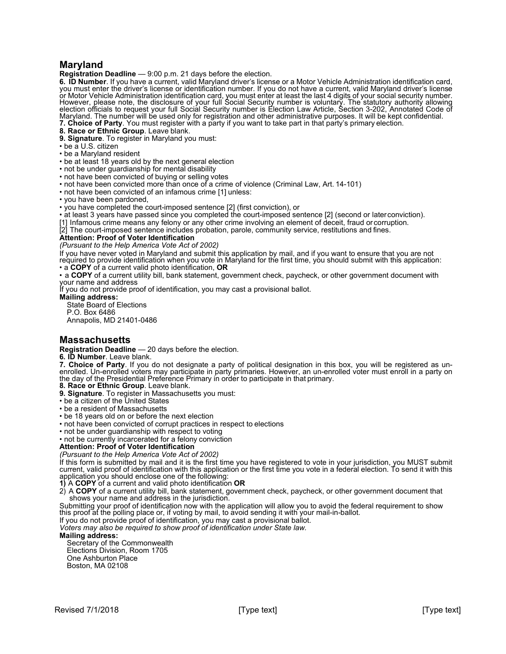### **Maryland**

**Registration Deadline** — 9:00 p.m. 21 days before the election.

**6. ID Number**. If you have a current, valid Maryland driver's license or a Motor Vehicle Administration identification card,<br>you must enter the driver's license or identification number. If you do not have a current, vali or Motor Vehicle Administration identification card, you must enter at least the last 4 digits of your social security number.<br>However, please note, the disclosure of your full Social Security number is voluntary. The stat election officials to request your full Social Security number is Election Law Article, Section 3-202, Annotated Code of Maryland. The number will be used only for registration and other administrative purposes. It will be kept confidential. **7. Choice of Party**. You must register with a party if you want to take part in that party's primary election.

**8. Race or Ethnic Group**. Leave blank.

**9. Signature**. To register in Maryland you must:

- be a U.S. citizen
- be a Maryland resident
- be at least 18 years old by the next general election
- not be under guardianship for mental disability
- not have been convicted of buying or selling votes
- not have been convicted more than once of a crime of violence (Criminal Law, Art. 14-101)
- not have been convicted of an infamous crime [1] unless:
- you have been pardoned,
- you have completed the court-imposed sentence [2] (first conviction), or
- at least 3 years have passed since you completed the court-imposed sentence [2] (second or laterconviction).

[1] Infamous crime means any felony or any other crime involving an element of deceit, fraud or corruption.

[2] The court-imposed sentence includes probation, parole, community service, restitutions and fines.

### **Attention: Proof of Voter Identification**

*(Pursuant to the Help America Vote Act of 2002)*

If you have never voted in Maryland and submit this application by mail, and if you want to ensure that you are not<br>required to provide identification when you vote in Maryland for the first time, you should submit with th

• a **COPY** of a current valid photo identification, **OR**

• a **COPY** of a current utility bill, bank statement, government check, paycheck, or other government document with your name and address

If you do not provide proof of identification, you may cast a provisional ballot.

**Mailing address:**

State Board of Elections P.O. Box 6486

Annapolis, MD 21401-0486

### **Massachusetts**

**Registration Deadline** — 20 days before the election.

**6. ID Number**. Leave blank. Finallied. Un-enrolled voters may participate in party primaries. However, an un-enrolled voter must enroll in a party on<br>the day of the Presidential Preference Primary in order to participate in that primary.

**8. Race or Ethnic Group**. Leave blank.

**9. Signature**. To register in Massachusetts you must: • be a citizen of the United States

• be a resident of Massachusetts

- be 18 years old on or before the next election
- not have been convicted of corrupt practices in respect to elections
- not be under guardianship with respect to voting

• not be currently incarcerated for a felony conviction

#### **Attention: Proof of Voter Identification**

*(Pursuant to the Help America Vote Act of 2002)*

If this form is submitted by mail and it is the first time you have registered to vote in your jurisdiction, you MUST submit current, valid proof of identification with this application or the first time you vote in a fede application you should enclose one of the following:

**1)** A **COPY** of a current and valid photo identification **OR**

2) A **COPY** of a current utility bill, bank statement, government check, paycheck, or other government document that shows your name and address in the jurisdiction.

Submitting your proof of identification now with the application will allow you to avoid the federal requirement to show this proof at the polling place or, if voting by mail, to avoid sending it with your mail-in-ballot.

If you do not provide proof of identification, you may cast a provisional ballot.

*Voters may also be required to show proof of identification under State law.* 

### **Mailing address:**

Secretary of the Commonwealth Elections Division, Room 1705 One Ashburton Place Boston, MA 02108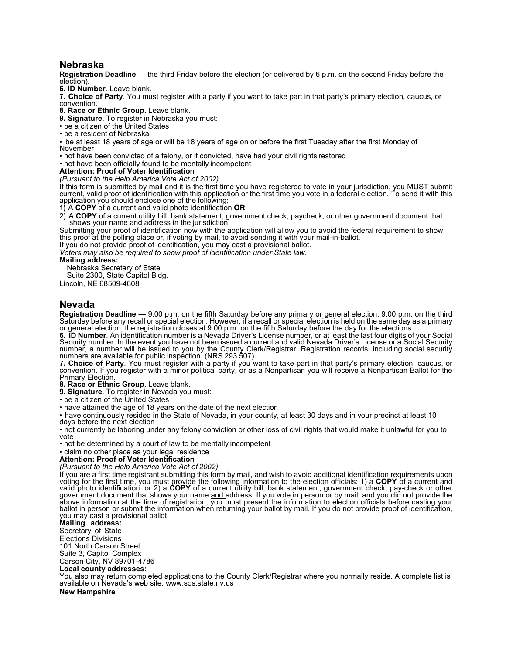### **Nebraska**

**Registration Deadline** — the third Friday before the election (or delivered by 6 p.m. on the second Friday before the election).

**6. ID Number**. Leave blank.

**7. Choice of Party**. You must register with a party if you want to take part in that party's primary election, caucus, or convention.

**8. Race or Ethnic Group**. Leave blank.

**9. Signature**. To register in Nebraska you must:

- be a citizen of the United States
- be a resident of Nebraska

• be at least 18 years of age or will be 18 years of age on or before the first Tuesday after the first Monday of November

• not have been convicted of a felony, or if convicted, have had your civil rights restored

• not have been officially found to be mentally incompetent

### **Attention: Proof of Voter Identification**

*(Pursuant to the Help America Vote Act of 2002)*

If this form is submitted by mail and it is the first time you have registered to vote in your jurisdiction, you MUST submit current, valid proof of identification with this application or the first time you vote in a fede application you should enclose one of the following:

**1)** A **COPY** of a current and valid photo identification **OR**

2) <sup>A</sup>**COPY** of a current utility bill, bank statement, government check, paycheck, or other government document that shows your name and address in the jurisdiction.

Submitting your proof of identification now with the application will allow you to avoid the federal requirement to show this proof at the polling place or, if voting by mail, to avoid sending it with your mail-in-ballot.

If you do not provide proof of identification, you may cast a provisional ballot.

*Voters may also be required to show proof of identification under State law.* 

#### **Mailing address:**

Nebraska Secretary of State

Suite 2300, State Capitol Bldg.

Lincoln, NE 68509-4608

### **Nevada**

Registration Deadline — 9:00 p.m. on the fifth Saturday before any primary or general election. 9:00 p.m. on the third<br>Saturday before any recall or special election. However, if a recall or special election is held on the

or general election, the registration closes at 9:00 p.m. on the fifth Saturday before the day for the elections.<br>**6. ID Number**. An identification number is a Nevada Driver's License number, or at least the last four digi Security number. In the event you have not been issued a current and valid Nevada Driver's License or a Social Security number, a number will be issued to you by the County Clerk/Registrar. Registration records, including social security numbers are available for public inspection. (NRS 293.507).

**7. Choice of Party**. You must register with a party if you want to take part in that party's primary election, caucus, or<br>convention. If you register with a minor political party, or as a Nonpartisan you will receive a No Primary Election.

**8. Race or Ethnic Group**. Leave blank.

**9. Signature**. To register in Nevada you must:

• be a citizen of the United States

• have attained the age of 18 years on the date of the next election

• have continuously resided in the State of Nevada, in your county, at least 30 days and in your precinct at least 10 days before the next election

• not currently be laboring under any felony conviction or other loss of civil rights that would make it unlawful for you to vote

• not be determined by a court of law to be mentally incompetent

• claim no other place as your legal residence

#### **Attention: Proof of Voter Identification**

*(Pursuant to the Help America Vote Act of 2002)* If you are a <u>first time registrant </u>submitting this form by mail, and wish to avoid additional identification requirements upon<br>voting for the first time, you must provide the following information to the election officia valid photo identification: or 2) a **COPY** of a current utility bill, bank statement, government check, pay-check or other government document that shows your name <u>and a</u>ddress. If you vote in person or by mail, and you did not provide the<br>above information at the time of registration, you must present the information to election officials be ballot in person or submit the information when returning your ballot by mail. If you do not provide proof of identification, you may cast a provisional ballot.

### **Mailing address:**

Secretary of State

Elections Divisions

101 North Carson Street

Suite 3, Capitol Complex Carson City, NV 89701-4786

### **Local county addresses:**

You also may return completed applications to the County Clerk/Registrar where you normally reside. A complete list is available on Nevada's web site[: www.sos.state.nv.us](http://www.sos.state.nv.us/)

#### **New Hampshire**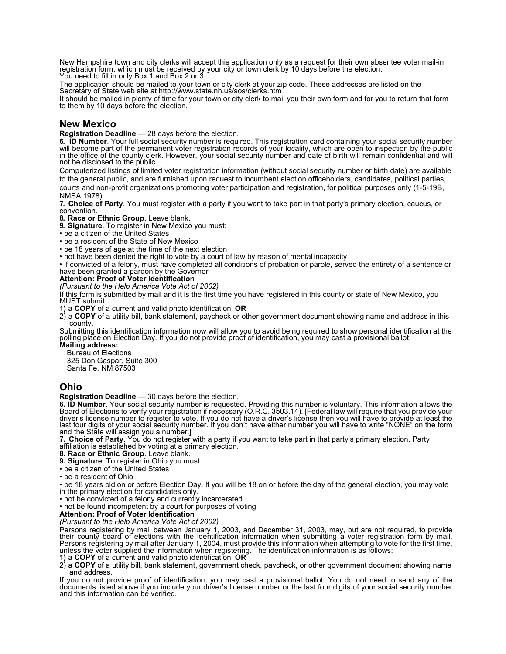New Hampshire town and city clerks will accept this application only as a request for their own absentee voter mail-in registration form, which must be received by your city or town clerk by 10 days before the election. You need to fill in only Box 1 and Box 2 or 3.

The application should be mailed to your town or city clerk at your zip code. These addresses are listed on the Secretary of State web site at<http://www.state.nh.us/sos/clerks.htm>

It should be mailed in plenty of time for your town or city clerk to mail you their own form and for you to return that form to them by 10 days before the election.

### **New Mexico**

**Registration Deadline** — 28 days before the election.

**6. ID Number.** Your full social security number is required. This registration card containing your social security number will become part of the permanent voter registration records of your locality, which are open to i not be disclosed to the public.

Computerized listings of limited voter registration information (without social security number or birth date) are available to the general public, and are furnished upon request to incumbent election officeholders, candidates, political parties, courts and non-profit organizations promoting voter participation and registration, for political purposes only (1-5-19B, NMSA 1978)

**7. Choice of Party**. You must register with a party if you want to take part in that party's primary election, caucus, or convention.

**8. Race or Ethnic Group**. Leave blank.

**9. Signature**. To register in New Mexico you must:

• be a citizen of the United States

• be a resident of the State of New Mexico

• be 18 years of age at the time of the next election

• not have been denied the right to vote by a court of law by reason of mental incapacity

• if convicted of a felony, must have completed all conditions of probation or parole, served the entirety of a sentence or have been granted a pardon by the Governor

#### **Attention: Proof of Voter Identification**

*(Pursuant to the Help America Vote Act of 2002)*

If this form is submitted by mail and it is the first time you have registered in this county or state of New Mexico, you<br>MUST submit:

**1)** a **COPY** of a current and valid photo identification; **OR**

2) a **COPY** of a utility bill, bank statement, paycheck or other government document showing name and address in this county.

Submitting this identification information now will allow you to avoid being required to show personal identification at the polling place on Election Day. If you do not provide proof of identification, you may cast a provisional ballot. **Mailing address:**

Bureau of Elections 325 Don Gaspar, Suite 300 Santa Fe, NM 87503

### **Ohio**

**Registration Deadline** — 30 days before the election.

6. ID Number. Your social security number is requested. Providing this number is voluntary. This information allows the Board of Elections to verify your registration if necessary (O.R.C. 3503.14). [Federal law will requir driver's license number to register to vote. If you do not have a driver's license then you will have to provide at least the last four digits of your social security number. If you do not have a driver's license then you and the State will assign you a number.]

**7. Choice of Party**. You do not register with a party if you want to take part in that party's primary election. Party<br>affiliation is established by voting at a primary election.

**8. Race or Ethnic Group**. Leave blank.

**9. Signature**. To register in Ohio you must:

• be a citizen of the United States

• be a resident of Ohio

• be 18 years old on or before Election Day. If you will be 18 on or before the day of the general election, you may vote in the primary election for candidates only.

• not be convicted of a felony and currently incarcerated

• not be found incompetent by a court for purposes of voting

### **Attention: Proof of Voter Identification**

*(Pursuant to the Help America Vote Act of 2002)*

Persons registering by mail between January 1, 2003, and December 31, 2003, may, but are not required, to provide their county board of elections with the identification information when submitting a voter registration form by mail.<br>Persons registering by mail after January 1, 2004, must provide this information when attempting to vot unless the voter supplied the information when registering. The identification information is as follows:

**1)** a **COPY** of a current and valid photo identification; **OR**

2) a **COPY** of a utility bill, bank statement, government check, paycheck, or other government document showing name and address.

If you do not provide proof of identification, you may cast a provisional ballot. You do not need to send any of the documents listed above if you include your driver's license number or the last four digits of your social security number and this information can be verified.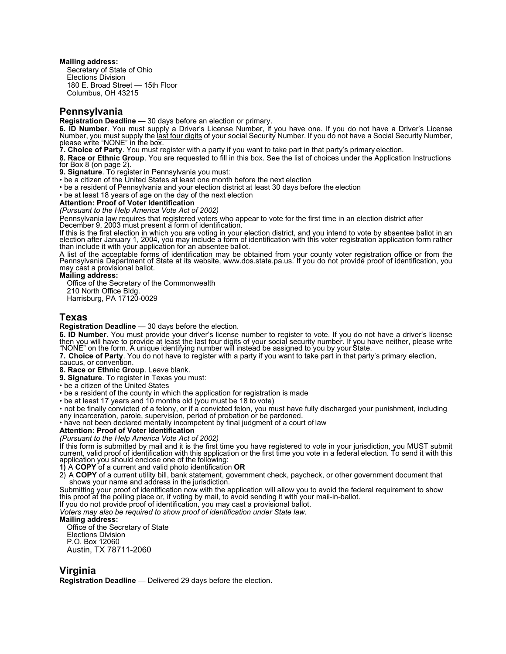#### **Mailing address:**

Secretary of State of Ohio Elections Division 180 E. Broad Street — 15th Floor Columbus, OH 43215

### **Pennsylvania**

**Registration Deadline** — 30 days before an election or primary. **6. ID Number**. You must supply a Driver's License Number, if you have one. If you do not have a Driver's License<br>Number, you must supply the <u>last four digits</u> of your social Security Number. If you do not have a Social S

**7. Choice of Party**. You must register with a party if you want to take part in that party's primary election.

**8. Race or Ethnic Group**. You are requested to fill in this box. See the list of choices under the Application Instructions for Box 8 (on page 2).

**9. Signature**. To register in Pennsylvania you must:

• be a citizen of the United States at least one month before the next election

• be a resident of Pennsylvania and your election district at least 30 days before the election

• be at least 18 years of age on the day of the next election

### **Attention: Proof of Voter Identification**

*(Pursuant to the Help America Vote Act of 2002)*

Pennsylvania law requires that registered voters who appear to vote for the first time in an election district after December 9, 2003 must present a form of identification.

If this is the first election in which you are voting in your election district, and you intend to vote by absentee ballot in an election after January 1, 2004, you may include a form of identification with this voter registration application form rather than include it with your application for an absentee ballot.

A list of the acceptable forms of identification may be obtained from your county voter registration office or from the Pennsylvania Department of State at its website, [www.dos.state.pa.us. I](http://www.dos.state.pa.us/)f you do not provide proof of identification, you<br>may cast a provisional ballot.

#### **Mailing address:**

Office of the Secretary of the Commonwealth 210 North Office Bldg. Harrisburg, PA 17120-0029

### **Texas**

**Registration Deadline** — 30 days before the election.<br>**6. ID Number**. You must provide your driver's license number to register to vote. If you do not have a driver's license then you will have to provide at least the last four digits of your social security number. If you have neither, please write "NONE" on the form. A unique identifying number will instead be assigned to you by your State.

**7. Choice of Party**. You do not have to register with a party if you want to take part in that party's primary election, caucus, or convention.

**8. Race or Ethnic Group**. Leave blank.

**9. Signature**. To register in Texas you must:

• be a citizen of the United States

• be a resident of the county in which the application for registration is made

• be at least 17 years and 10 months old (you must be 18 to vote)

• not be finally convicted of a felony, or if a convicted felon, you must have fully discharged your punishment, including<br>any incarceration, parole, supervision, period of probation or be pardoned.

• have not been declared mentally incompetent by final judgment of a court of law

### **Attention: Proof of Voter Identification**

*(Pursuant to the Help America Vote Act of 2002)* current, valid proof of identification with this application or the first time you vote in a federal election. To send it with this application you should enclose one of the following:

**1)** A **COPY** of a current and valid photo identification **OR**

2) <sup>A</sup>**COPY** of a current utility bill, bank statement, government check, paycheck, or other government document that shows your name and address in the jurisdiction.

Submitting your proof of identification now with the application will allow you to avoid the federal requirement to show this proof at the polling place or, if voting by mail, to avoid sending it with your mail-in-ballot.

If you do not provide proof of identification, you may cast a provisional ballot. *Voters may also be required to show proof of identification under State law.* 

### **Mailing address:**

Office of the Secretary of State

Elections Division P.O. Box 12060 Austin, TX 78711-2060

### **Virginia**

**Registration Deadline** — Delivered 29 days before the election.